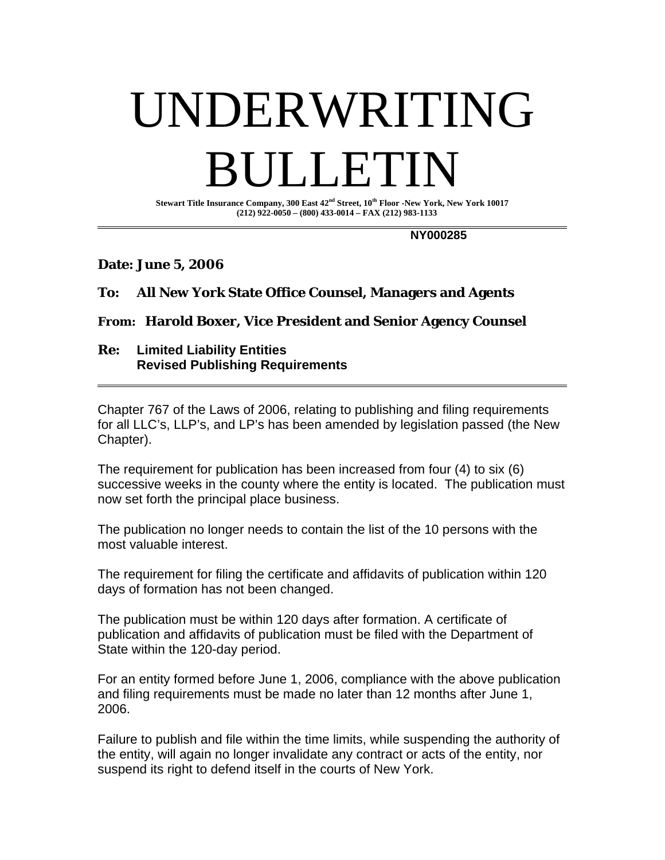## UNDERWRITING **DETECT**

**Stewart Title Insurance Company, 300 East 42nd Street, 10th Floor -New York, New York 10017 (212) 922-0050 – (800) 433-0014 – FAX (212) 983-1133** 

 **NY000285** 

**Date: June 5, 2006** 

## **To: All New York State Office Counsel, Managers and Agents**

## **From: Harold Boxer, Vice President and Senior Agency Counsel**

**Re: Limited Liability Entities Revised Publishing Requirements** 

Chapter 767 of the Laws of 2006, relating to publishing and filing requirements for all LLC's, LLP's, and LP's has been amended by legislation passed (the New Chapter).

The requirement for publication has been increased from four (4) to six (6) successive weeks in the county where the entity is located. The publication must now set forth the principal place business.

The publication no longer needs to contain the list of the 10 persons with the most valuable interest.

The requirement for filing the certificate and affidavits of publication within 120 days of formation has not been changed.

The publication must be within 120 days after formation. A certificate of publication and affidavits of publication must be filed with the Department of State within the 120-day period.

For an entity formed before June 1, 2006, compliance with the above publication and filing requirements must be made no later than 12 months after June 1, 2006.

Failure to publish and file within the time limits, while suspending the authority of the entity, will again no longer invalidate any contract or acts of the entity, nor suspend its right to defend itself in the courts of New York.